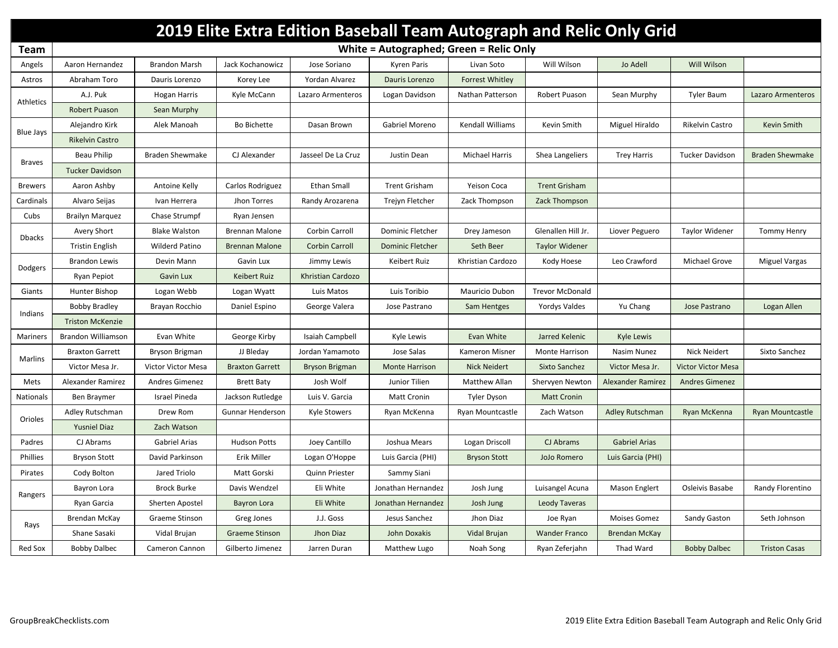|                | 2019 Elite Extra Edition Baseball Team Autograph and Relic Only Grid |                        |                         |                       |                         |                        |                        |                          |                           |                         |  |
|----------------|----------------------------------------------------------------------|------------------------|-------------------------|-----------------------|-------------------------|------------------------|------------------------|--------------------------|---------------------------|-------------------------|--|
| Team           | White = Autographed; Green = Relic Only                              |                        |                         |                       |                         |                        |                        |                          |                           |                         |  |
| Angels         | Aaron Hernandez                                                      | <b>Brandon Marsh</b>   | Jack Kochanowicz        | Jose Soriano          | <b>Kyren Paris</b>      | Livan Soto             | Will Wilson            | Jo Adell                 | Will Wilson               |                         |  |
| Astros         | Abraham Toro                                                         | Dauris Lorenzo         | Korey Lee               | Yordan Alvarez        | Dauris Lorenzo          | <b>Forrest Whitley</b> |                        |                          |                           |                         |  |
| Athletics      | A.J. Puk                                                             | <b>Hogan Harris</b>    | Kyle McCann             | Lazaro Armenteros     | Logan Davidson          | Nathan Patterson       | Robert Puason          | Sean Murphy              | <b>Tyler Baum</b>         | Lazaro Armenteros       |  |
|                | Robert Puason                                                        | Sean Murphy            |                         |                       |                         |                        |                        |                          |                           |                         |  |
| Blue Jays      | Alejandro Kirk                                                       | Alek Manoah            | Bo Bichette             | Dasan Brown           | Gabriel Moreno          | Kendall Williams       | Kevin Smith            | Miguel Hiraldo           | Rikelvin Castro           | Kevin Smith             |  |
|                | <b>Rikelvin Castro</b>                                               |                        |                         |                       |                         |                        |                        |                          |                           |                         |  |
| <b>Braves</b>  | Beau Philip                                                          | <b>Braden Shewmake</b> | CJ Alexander            | Jasseel De La Cruz    | Justin Dean             | <b>Michael Harris</b>  | Shea Langeliers        | <b>Trey Harris</b>       | <b>Tucker Davidson</b>    | <b>Braden Shewmake</b>  |  |
|                | <b>Tucker Davidson</b>                                               |                        |                         |                       |                         |                        |                        |                          |                           |                         |  |
| <b>Brewers</b> | Aaron Ashby                                                          | Antoine Kelly          | Carlos Rodriguez        | <b>Ethan Small</b>    | <b>Trent Grisham</b>    | <b>Yeison Coca</b>     | <b>Trent Grisham</b>   |                          |                           |                         |  |
| Cardinals      | Alvaro Seijas                                                        | Ivan Herrera           | Jhon Torres             | Randy Arozarena       | Trejyn Fletcher         | Zack Thompson          | Zack Thompson          |                          |                           |                         |  |
| Cubs           | <b>Brailyn Marquez</b>                                               | Chase Strumpf          | Ryan Jensen             |                       |                         |                        |                        |                          |                           |                         |  |
| <b>Dbacks</b>  | Avery Short                                                          | <b>Blake Walston</b>   | <b>Brennan Malone</b>   | Corbin Carroll        | Dominic Fletcher        | Drey Jameson           | Glenallen Hill Jr.     | Liover Peguero           | <b>Taylor Widener</b>     | <b>Tommy Henry</b>      |  |
|                | <b>Tristin English</b>                                               | <b>Wilderd Patino</b>  | <b>Brennan Malone</b>   | <b>Corbin Carroll</b> | <b>Dominic Fletcher</b> | Seth Beer              | <b>Taylor Widener</b>  |                          |                           |                         |  |
| Dodgers        | <b>Brandon Lewis</b>                                                 | Devin Mann             | Gavin Lux               | Jimmy Lewis           | Keibert Ruiz            | Khristian Cardozo      | Kody Hoese             | Leo Crawford             | Michael Grove             | <b>Miguel Vargas</b>    |  |
|                | Ryan Pepiot                                                          | <b>Gavin Lux</b>       | Keibert Ruiz            | Khristian Cardozo     |                         |                        |                        |                          |                           |                         |  |
| Giants         | Hunter Bishop                                                        | Logan Webb             | Logan Wyatt             | Luis Matos            | Luis Toribio            | Mauricio Dubon         | <b>Trevor McDonald</b> |                          |                           |                         |  |
| Indians        | <b>Bobby Bradley</b>                                                 | Brayan Rocchio         | Daniel Espino           | George Valera         | Jose Pastrano           | Sam Hentges            | <b>Yordys Valdes</b>   | Yu Chang                 | Jose Pastrano             | Logan Allen             |  |
|                | <b>Triston McKenzie</b>                                              |                        |                         |                       |                         |                        |                        |                          |                           |                         |  |
| Mariners       | Brandon Williamson                                                   | Evan White             | George Kirby            | Isaiah Campbell       | Kyle Lewis              | Evan White             | Jarred Kelenic         | <b>Kyle Lewis</b>        |                           |                         |  |
| Marlins        | <b>Braxton Garrett</b>                                               | Bryson Brigman         | JJ Bleday               | Jordan Yamamoto       | Jose Salas              | Kameron Misner         | Monte Harrison         | Nasim Nunez              | Nick Neidert              | Sixto Sanchez           |  |
|                | Victor Mesa Jr.                                                      | Victor Victor Mesa     | <b>Braxton Garrett</b>  | <b>Bryson Brigman</b> | <b>Monte Harrison</b>   | <b>Nick Neidert</b>    | Sixto Sanchez          | Victor Mesa Jr.          | <b>Victor Victor Mesa</b> |                         |  |
| Mets           | Alexander Ramirez                                                    | Andres Gimenez         | <b>Brett Baty</b>       | Josh Wolf             | Junior Tilien           | Matthew Allan          | Shervyen Newton        | <b>Alexander Ramirez</b> | <b>Andres Gimenez</b>     |                         |  |
| Nationals      | Ben Braymer                                                          | <b>Israel Pineda</b>   | Jackson Rutledge        | Luis V. Garcia        | <b>Matt Cronin</b>      | <b>Tyler Dyson</b>     | <b>Matt Cronin</b>     |                          |                           |                         |  |
| Orioles        | Adley Rutschman                                                      | Drew Rom               | <b>Gunnar Henderson</b> | Kyle Stowers          | Ryan McKenna            | Ryan Mountcastle       | Zach Watson            | Adley Rutschman          | Ryan McKenna              | <b>Ryan Mountcastle</b> |  |
|                | <b>Yusniel Diaz</b>                                                  | Zach Watson            |                         |                       |                         |                        |                        |                          |                           |                         |  |
| Padres         | CJ Abrams                                                            | Gabriel Arias          | <b>Hudson Potts</b>     | Joey Cantillo         | Joshua Mears            | Logan Driscoll         | CJ Abrams              | <b>Gabriel Arias</b>     |                           |                         |  |
| Phillies       | <b>Bryson Stott</b>                                                  | David Parkinson        | Erik Miller             | Logan O'Hoppe         | Luis Garcia (PHI)       | <b>Bryson Stott</b>    | JoJo Romero            | Luis Garcia (PHI)        |                           |                         |  |
| Pirates        | Cody Bolton                                                          | Jared Triolo           | Matt Gorski             | Quinn Priester        | Sammy Siani             |                        |                        |                          |                           |                         |  |
| Rangers        | Bayron Lora                                                          | <b>Brock Burke</b>     | Davis Wendzel           | Eli White             | Jonathan Hernandez      | Josh Jung              | Luisangel Acuna        | <b>Mason Englert</b>     | Osleivis Basabe           | Randy Florentino        |  |
|                | Ryan Garcia                                                          | Sherten Apostel        | <b>Bayron Lora</b>      | Eli White             | Jonathan Hernandez      | Josh Jung              | Leody Taveras          |                          |                           |                         |  |
| Rays           | Brendan McKay                                                        | Graeme Stinson         | Greg Jones              | J.J. Goss             | Jesus Sanchez           | Jhon Diaz              | Joe Ryan               | <b>Moises Gomez</b>      | Sandy Gaston              | Seth Johnson            |  |
|                | Shane Sasaki                                                         | Vidal Brujan           | Graeme Stinson          | Jhon Diaz             | John Doxakis            | Vidal Brujan           | <b>Wander Franco</b>   | Brendan McKay            |                           |                         |  |
| Red Sox        | <b>Bobby Dalbec</b>                                                  | Cameron Cannon         | Gilberto Jimenez        | Jarren Duran          | Matthew Lugo            | Noah Song              | Ryan Zeferjahn         | Thad Ward                | <b>Bobby Dalbec</b>       | <b>Triston Casas</b>    |  |